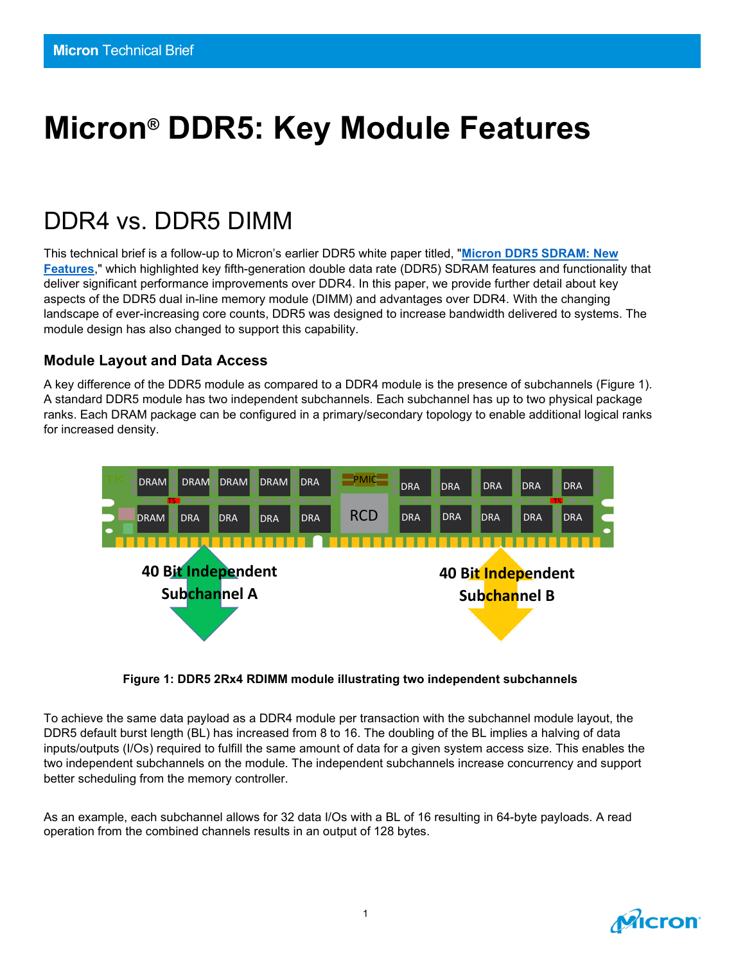# **Micron® DDR5: Key Module Features**

# DDR4 vs. DDR5 DIMM

This technical brief is a follow-up to Micron's earlier DDR5 white paper titled, "**[Micron DDR5 SDRAM: New](https://www.micron.com/-/media/client/global/documents/products/white-paper/ddr5_new_features_white_paper.pdf)  [Features](https://www.micron.com/-/media/client/global/documents/products/white-paper/ddr5_new_features_white_paper.pdf)**," which highlighted key fifth-generation double data rate (DDR5) SDRAM features and functionality that deliver significant performance improvements over DDR4. In this paper, we provide further detail about key aspects of the DDR5 dual in-line memory module (DIMM) and advantages over DDR4. With the changing landscape of ever-increasing core counts, DDR5 was designed to increase bandwidth delivered to systems. The module design has also changed to support this capability.

#### **Module Layout and Data Access**

A key difference of the DDR5 module as compared to a DDR4 module is the presence of subchannels (Figure 1). A standard DDR5 module has two independent subchannels. Each subchannel has up to two physical package ranks. Each DRAM package can be configured in a primary/secondary topology to enable additional logical ranks for increased density.



**Figure 1: DDR5 2Rx4 RDIMM module illustrating two independent subchannels**

To achieve the same data payload as a DDR4 module per transaction with the subchannel module layout, the DDR5 default burst length (BL) has increased from 8 to 16. The doubling of the BL implies a halving of data inputs/outputs (I/Os) required to fulfill the same amount of data for a given system access size. This enables the two independent subchannels on the module. The independent subchannels increase concurrency and support better scheduling from the memory controller.

As an example, each subchannel allows for 32 data I/Os with a BL of 16 resulting in 64-byte payloads. A read operation from the combined channels results in an output of 128 bytes.

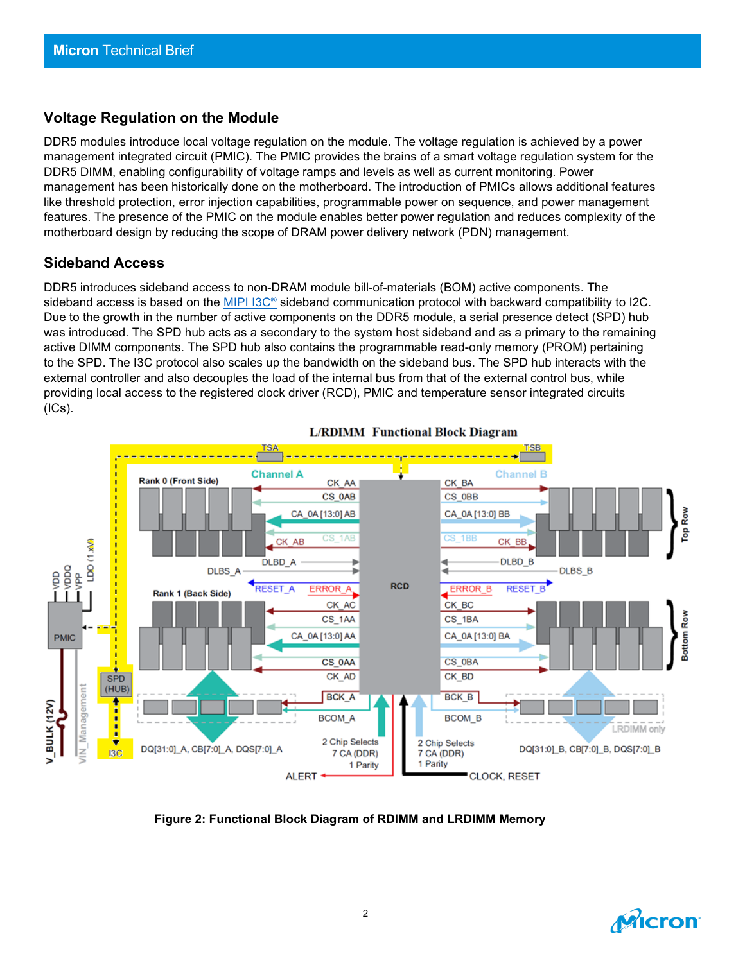#### **Voltage Regulation on the Module**

DDR5 modules introduce local voltage regulation on the module. The voltage regulation is achieved by a power management integrated circuit (PMIC). The PMIC provides the brains of a smart voltage regulation system for the DDR5 DIMM, enabling configurability of voltage ramps and levels as well as current monitoring. Power management has been historically done on the motherboard. The introduction of PMICs allows additional features like threshold protection, error injection capabilities, programmable power on sequence, and power management features. The presence of the PMIC on the module enables better power regulation and reduces complexity of the motherboard design by reducing the scope of DRAM power delivery network (PDN) management. 

#### **Sideband Access**

DDR5 introduces sideband access to non-DRAM module bill-of-materials (BOM) active components. The sideband access is based on the [MIPI](https://www.mipi.org/specifications/i3c-sensor-specification) I3C<sup>®</sup> sideband communication protocol with backward compatibility to I2C. Due to the growth in the number of active components on the DDR5 module, a serial presence detect (SPD) hub was introduced. The SPD hub acts as a secondary to the system host sideband and as a primary to the remaining active DIMM components. The SPD hub also contains the programmable read-only memory (PROM) pertaining to the SPD. The I3C protocol also scales up the bandwidth on the sideband bus. The SPD hub interacts with the external controller and also decouples the load of the internal bus from that of the external control bus, while providing local access to the registered clock driver (RCD), PMIC and temperature sensor integrated circuits (ICs).



#### **L/RDIMM** Functional Block Diagram

**Figure 2: Functional Block Diagram of RDIMM and LRDIMM Memory**

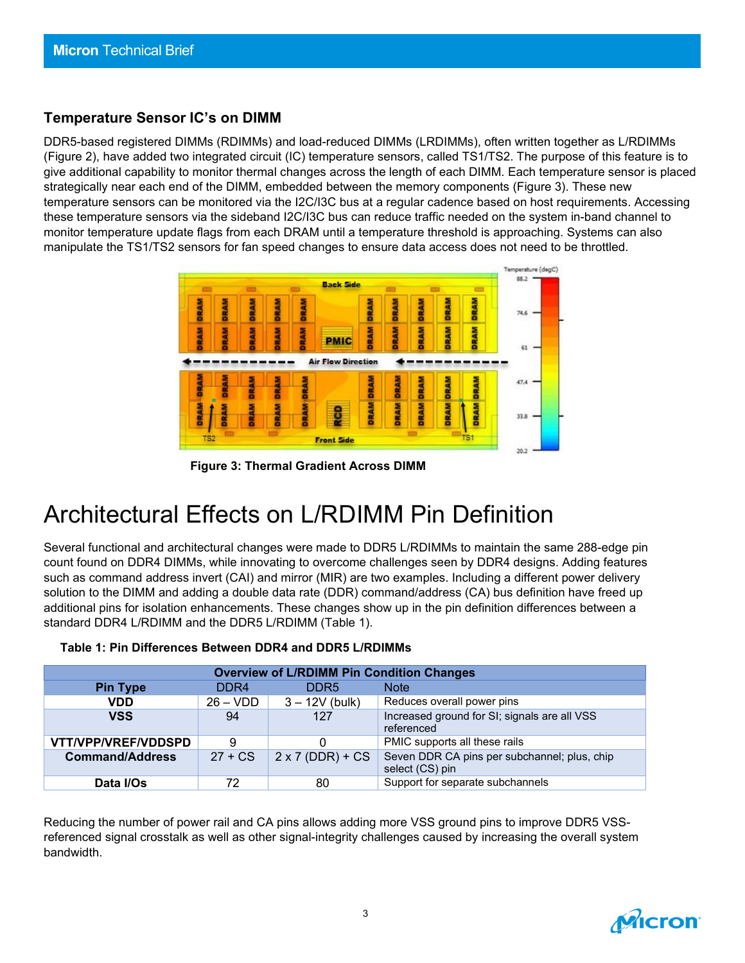#### **Temperature Sensor IC's on DIMM**

DDR5-based registered DIMMs (RDIMMs) and load-reduced DIMMs (LRDIMMs), often written together as L/RDIMMs (Figure 2), have added two integrated circuit (IC) temperature sensors, called TS1/TS2. The purpose of this feature is to give additional capability to monitor thermal changes across the length of each DIMM. Each temperature sensor is placed strategically near each end of the DIMM, embedded between the memory components (Figure 3). These new temperature sensors can be monitored via the I2C/I3C bus at a regular cadence based on host requirements. Accessing these temperature sensors via the sideband I2C/I3C bus can reduce traffic needed on the system in-band channel to monitor temperature update flags from each DRAM until a temperature threshold is approaching. Systems can also manipulate the TS1/TS2 sensors for fan speed changes to ensure data access does not need to be throttled.



**Figure 3: Thermal Gradient Across DIMM**

### Architectural Effects on L/RDIMM Pin Definition

Several functional and architectural changes were made to DDR5 L/RDIMMs to maintain the same 288-edge pin count found on DDR4 DIMMs, while innovating to overcome challenges seen by DDR4 designs. Adding features such as command address invert (CAI) and mirror (MIR) are two examples. Including a different power delivery solution to the DIMM and adding a double data rate (DDR) command/address (CA) bus definition have freed up additional pins for isolation enhancements. These changes show up in the pin definition differences between a standard DDR4 L/RDIMM and the DDR5 L/RDIMM (Table 1).

| <b>Overview of L/RDIMM Pin Condition Changes</b> |                  |                         |                                                                 |
|--------------------------------------------------|------------------|-------------------------|-----------------------------------------------------------------|
| <b>Pin Type</b>                                  | DDR <sub>4</sub> | DDR <sub>5</sub>        | <b>Note</b>                                                     |
| <b>VDD</b>                                       | $26 - VDD$       | $3 - 12V$ (bulk)        | Reduces overall power pins                                      |
| <b>VSS</b>                                       | 94               | 127                     | Increased ground for SI; signals are all VSS<br>referenced      |
| VTT/VPP/VREF/VDDSPD                              | 9                | 0                       | PMIC supports all these rails                                   |
| <b>Command/Address</b>                           | $27 + CS$        | $2 \times 7$ (DDR) + CS | Seven DDR CA pins per subchannel; plus, chip<br>select (CS) pin |
| Data I/Os                                        | 72               | 80                      | Support for separate subchannels                                |

#### **Table 1: Pin Differences Between DDR4 and DDR5 L/RDIMMs**

Reducing the number of power rail and CA pins allows adding more VSS ground pins to improve DDR5 VSSreferenced signal crosstalk as well as other signal-integrity challenges caused by increasing the overall system bandwidth.

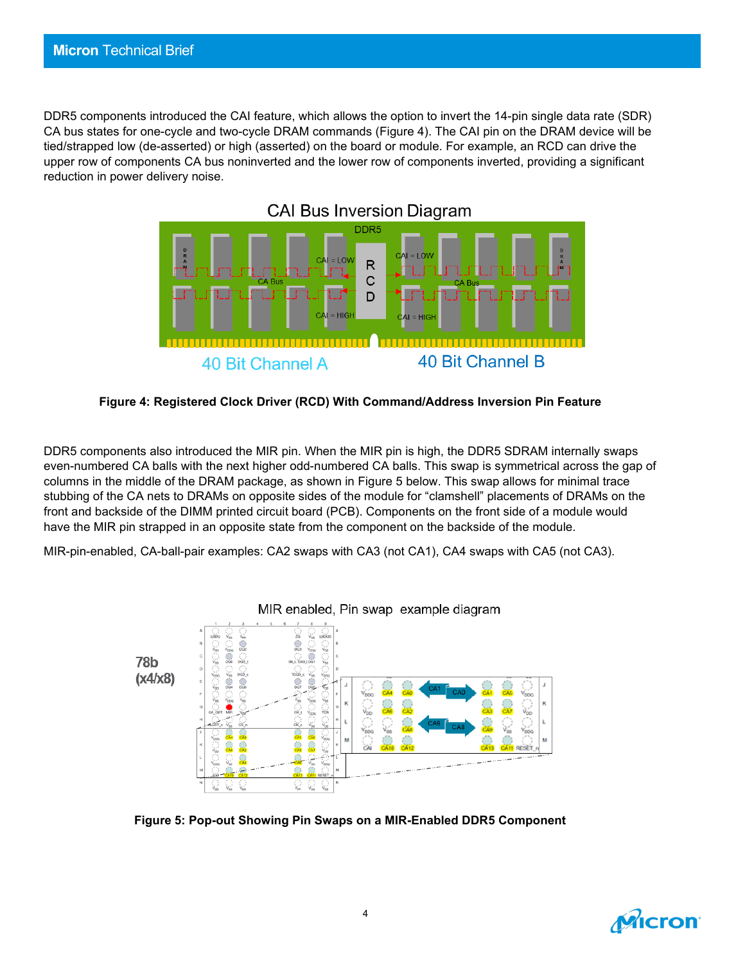DDR5 components introduced the CAI feature, which allows the option to invert the 14-pin single data rate (SDR) CA bus states for one-cycle and two-cycle DRAM commands (Figure 4). The CAI pin on the DRAM device will be tied/strapped low (de-asserted) or high (asserted) on the board or module. For example, an RCD can drive the upper row of components CA bus noninverted and the lower row of components inverted, providing a significant reduction in power delivery noise.



**Figure 4: Registered Clock Driver (RCD) With Command/Address Inversion Pin Feature**

DDR5 components also introduced the MIR pin. When the MIR pin is high, the DDR5 SDRAM internally swaps even-numbered CA balls with the next higher odd-numbered CA balls. This swap is symmetrical across the gap of columns in the middle of the DRAM package, as shown in Figure 5 below. This swap allows for minimal trace stubbing of the CA nets to DRAMs on opposite sides of the module for "clamshell" placements of DRAMs on the front and backside of the DIMM printed circuit board (PCB). Components on the front side of a module would have the MIR pin strapped in an opposite state from the component on the backside of the module.

MIR-pin-enabled, CA-ball-pair examples: CA2 swaps with CA3 (not CA1), CA4 swaps with CA5 (not CA3).



**Figure 5: Pop-out Showing Pin Swaps on a MIR-Enabled DDR5 Component**

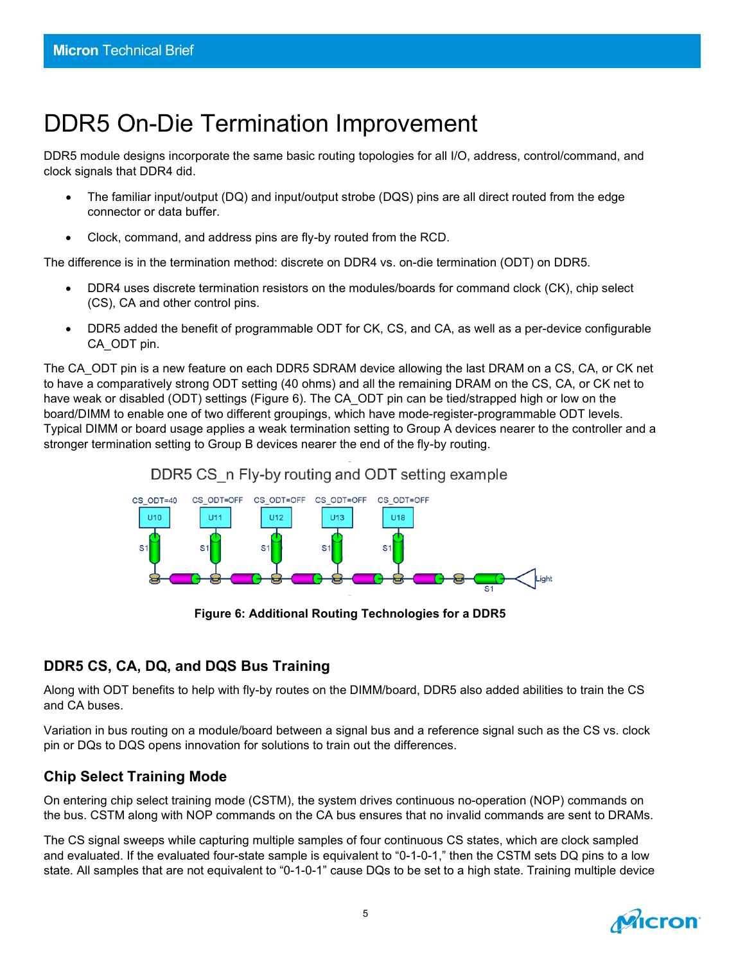## DDR5 On-Die Termination Improvement

DDR5 module designs incorporate the same basic routing topologies for all I/O, address, control/command, and clock signals that DDR4 did.

- The familiar input/output (DQ) and input/output strobe (DQS) pins are all direct routed from the edge connector or data buffer.
- Clock, command, and address pins are fly-by routed from the RCD.

The difference is in the termination method: discrete on DDR4 vs. on-die termination (ODT) on DDR5.

- DDR4 uses discrete termination resistors on the modules/boards for command clock (CK), chip select (CS), CA and other control pins.
- DDR5 added the benefit of programmable ODT for CK, CS, and CA, as well as a per-device configurable CA\_ODT pin.

The CA\_ODT pin is a new feature on each DDR5 SDRAM device allowing the last DRAM on a CS, CA, or CK net to have a comparatively strong ODT setting (40 ohms) and all the remaining DRAM on the CS, CA, or CK net to have weak or disabled (ODT) settings (Figure 6). The CA\_ODT pin can be tied/strapped high or low on the board/DIMM to enable one of two different groupings, which have mode-register-programmable ODT levels. Typical DIMM or board usage applies a weak termination setting to Group A devices nearer to the controller and a stronger termination setting to Group B devices nearer the end of the fly-by routing.



**Figure 6: Additional Routing Technologies for a DDR5**

#### **DDR5 CS, CA, DQ, and DQS Bus Training**

Along with ODT benefits to help with fly-by routes on the DIMM/board, DDR5 also added abilities to train the CS and CA buses.

Variation in bus routing on a module/board between a signal bus and a reference signal such as the CS vs. clock pin or DQs to DQS opens innovation for solutions to train out the differences.

#### **Chip Select Training Mode**

On entering chip select training mode (CSTM), the system drives continuous no-operation (NOP) commands on the bus. CSTM along with NOP commands on the CA bus ensures that no invalid commands are sent to DRAMs.

The CS signal sweeps while capturing multiple samples of four continuous CS states, which are clock sampled and evaluated. If the evaluated four-state sample is equivalent to "0-1-0-1," then the CSTM sets DQ pins to a low state. All samples that are not equivalent to "0-1-0-1" cause DQs to be set to a high state. Training multiple device

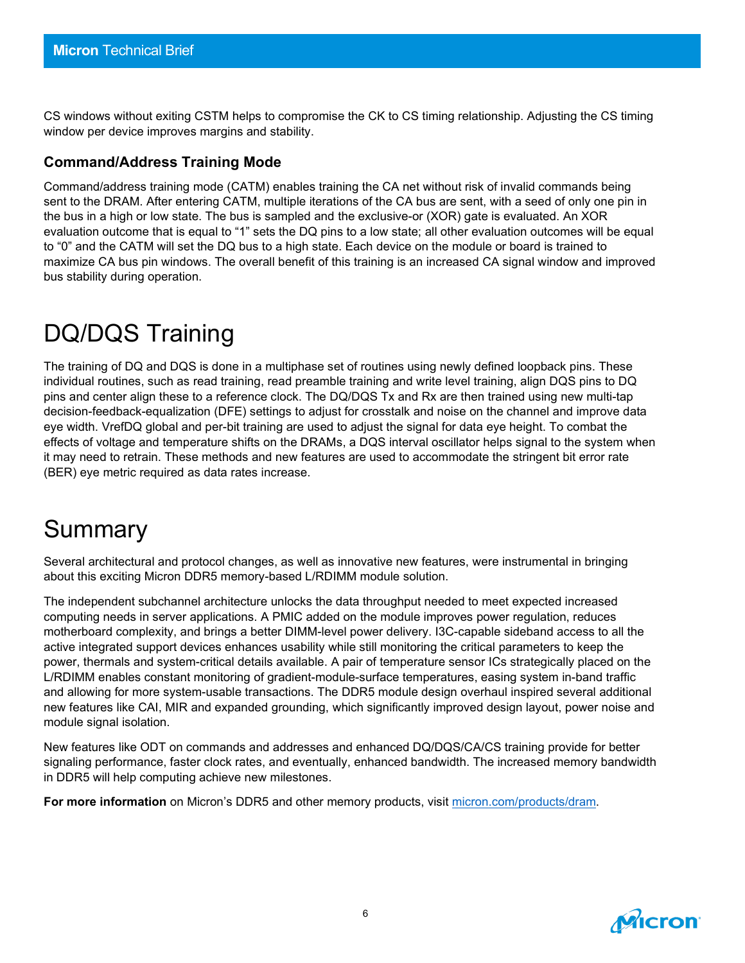CS windows without exiting CSTM helps to compromise the CK to CS timing relationship. Adjusting the CS timing window per device improves margins and stability.

#### **Command/Address Training Mode**

Command/address training mode (CATM) enables training the CA net without risk of invalid commands being sent to the DRAM. After entering CATM, multiple iterations of the CA bus are sent, with a seed of only one pin in the bus in a high or low state. The bus is sampled and the exclusive-or (XOR) gate is evaluated. An XOR evaluation outcome that is equal to "1" sets the DQ pins to a low state; all other evaluation outcomes will be equal to "0" and the CATM will set the DQ bus to a high state. Each device on the module or board is trained to maximize CA bus pin windows. The overall benefit of this training is an increased CA signal window and improved bus stability during operation.

# DQ/DQS Training

The training of DQ and DQS is done in a multiphase set of routines using newly defined loopback pins. These individual routines, such as read training, read preamble training and write level training, align DQS pins to DQ pins and center align these to a reference clock. The DQ/DQS Tx and Rx are then trained using new multi-tap decision-feedback-equalization (DFE) settings to adjust for crosstalk and noise on the channel and improve data eye width. VrefDQ global and per-bit training are used to adjust the signal for data eye height. To combat the effects of voltage and temperature shifts on the DRAMs, a DQS interval oscillator helps signal to the system when it may need to retrain. These methods and new features are used to accommodate the stringent bit error rate (BER) eye metric required as data rates increase.

### Summary

Several architectural and protocol changes, as well as innovative new features, were instrumental in bringing about this exciting Micron DDR5 memory-based L/RDIMM module solution.

The independent subchannel architecture unlocks the data throughput needed to meet expected increased computing needs in server applications. A PMIC added on the module improves power regulation, reduces motherboard complexity, and brings a better DIMM-level power delivery. I3C-capable sideband access to all the active integrated support devices enhances usability while still monitoring the critical parameters to keep the power, thermals and system-critical details available. A pair of temperature sensor ICs strategically placed on the L/RDIMM enables constant monitoring of gradient-module-surface temperatures, easing system in-band traffic and allowing for more system-usable transactions. The DDR5 module design overhaul inspired several additional new features like CAI, MIR and expanded grounding, which significantly improved design layout, power noise and module signal isolation.

New features like ODT on commands and addresses and enhanced DQ/DQS/CA/CS training provide for better signaling performance, faster clock rates, and eventually, enhanced bandwidth. The increased memory bandwidth in DDR5 will help computing achieve new milestones.

**For more information** on Micron's DDR5 and other memory products, visit [micron.com/products/dram.](https://www.micron.com/products/dram)